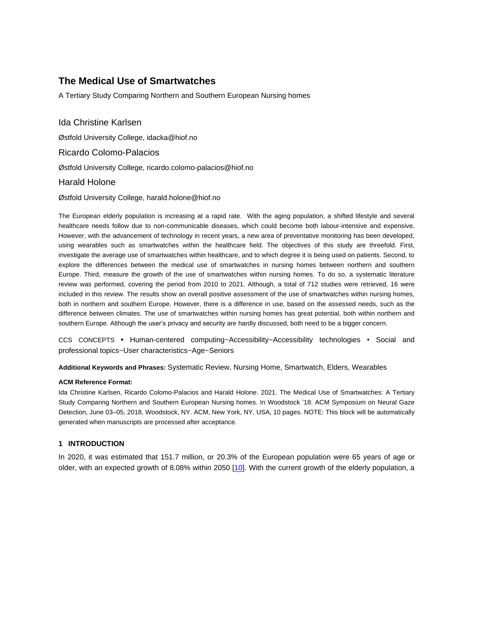# **The Medical Use of Smartwatches**

A Tertiary Study Comparing Northern and Southern European Nursing homes

Ida Christine Karlsen Østfold University College, idacka@hiof.no Ricardo Colomo-Palacios Østfold University College, ricardo.colomo-palacios@hiof.no Harald Holone

Østfold University College, harald.holone@hiof.no

The European elderly population is increasing at a rapid rate. With the aging population, a shifted lifestyle and several healthcare needs follow due to non-communicable diseases, which could become both labour-intensive and expensive. However, with the advancement of technology in recent years, a new area of preventative monitoring has been developed, using wearables such as smartwatches within the healthcare field. The objectives of this study are threefold. First, investigate the average use of smartwatches within healthcare, and to which degree it is being used on patients. Second, to explore the differences between the medical use of smartwatches in nursing homes between northern and southern Europe. Third, measure the growth of the use of smartwatches within nursing homes. To do so, a systematic literature review was performed, covering the period from 2010 to 2021. Although, a total of 712 studies were retrieved, 16 were included in this review. The results show an overall positive assessment of the use of smartwatches within nursing homes, both in northern and southern Europe. However, there is a difference in use, based on the assessed needs, such as the difference between climates. The use of smartwatches within nursing homes has great potential, both within northern and southern Europe. Although the user's privacy and security are hardly discussed, both need to be a bigger concern.

CCS CONCEPTS **•** Human-centered computing~Accessibility~Accessibility technologies • Social and professional topics~User characteristics~Age~Seniors

**Additional Keywords and Phrases:** Systematic Review, Nursing Home, Smartwatch, Elders, Wearables

#### **ACM Reference Format:**

Ida Christine Karlsen, Ricardo Colomo-Palacios and Harald Holone. 2021. The Medical Use of Smartwatches: A Tertiary Study Comparing Northern and Southern European Nursing homes. In Woodstock '18: ACM Symposium on Neural Gaze Detection, June 03–05, 2018, Woodstock, NY. ACM, New York, NY, USA, 10 pages. NOTE: This block will be automatically generated when manuscripts are processed after acceptance.

# **1 INTRODUCTION**

In 2020, it was estimated that 151.7 million, or 20.3% of the European population were 65 years of age or older, with an expected growth of 8.08% within 2050 [\[10\].](#page-7-0) With the current growth of the elderly population, a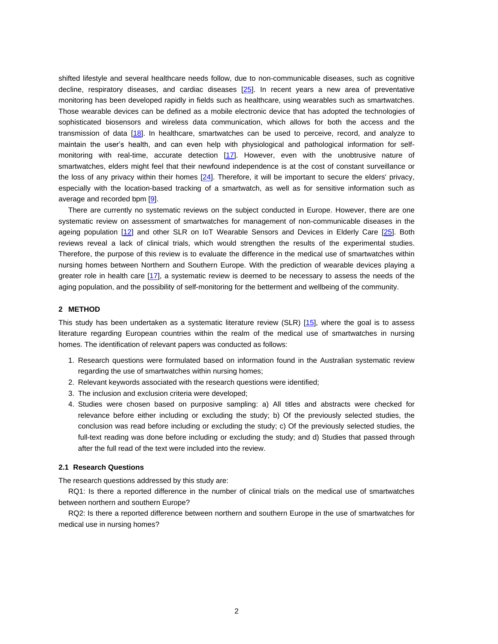shifted lifestyle and several healthcare needs follow, due to non-communicable diseases, such as cognitive decline, respiratory diseases, and cardiac diseases [\[25\].](#page-7-1) In recent years a new area of preventative monitoring has been developed rapidly in fields such as healthcare, using wearables such as smartwatches. Those wearable devices can be defined as a mobile electronic device that has adopted the technologies of sophisticated biosensors and wireless data communication, which allows for both the access and the transmission of data [\[18\]](#page-7-2). In healthcare, smartwatches can be used to perceive, record, and analyze to maintain the user's health, and can even help with physiological and pathological information for self-monitoring with real-time, accurate detection [\[17\]](#page-7-3). However, even with the unobtrusive nature of smartwatches, elders might feel that their newfound independence is at the cost of constant surveillance or the loss of any privacy within their homes [\[24\].](#page-7-4) Therefore, it will be important to secure the elders' privacy, especially with the location-based tracking of a smartwatch, as well as for sensitive information such as average and recorded bpm [\[9\]](#page-7-5).

There are currently no systematic reviews on the subject conducted in Europe. However, there are one systematic review on assessment of smartwatches for management of non-communicable diseases in the ageing population [\[12\]](#page-7-6) and other SLR on IoT Wearable Sensors and Devices in Elderly Care [\[25\]](#page-7-1). Both reviews reveal a lack of clinical trials, which would strengthen the results of the experimental studies. Therefore, the purpose of this review is to evaluate the difference in the medical use of smartwatches within nursing homes between Northern and Southern Europe. With the prediction of wearable devices playing a greater role in health care [\[17\]](#page-7-3), a systematic review is deemed to be necessary to assess the needs of the aging population, and the possibility of self-monitoring for the betterment and wellbeing of the community.

### **2 METHOD**

This study has been undertaken as a systematic literature review (SLR) [\[15\]](#page-7-7), where the goal is to assess literature regarding European countries within the realm of the medical use of smartwatches in nursing homes. The identification of relevant papers was conducted as follows:

- 1. Research questions were formulated based on information found in the Australian systematic review regarding the use of smartwatches within nursing homes;
- 2. Relevant keywords associated with the research questions were identified;
- 3. The inclusion and exclusion criteria were developed;
- 4. Studies were chosen based on purposive sampling: a) All titles and abstracts were checked for relevance before either including or excluding the study; b) Of the previously selected studies, the conclusion was read before including or excluding the study; c) Of the previously selected studies, the full-text reading was done before including or excluding the study; and d) Studies that passed through after the full read of the text were included into the review.

### **2.1 Research Questions**

The research questions addressed by this study are:

RQ1: Is there a reported difference in the number of clinical trials on the medical use of smartwatches between northern and southern Europe?

RQ2: Is there a reported difference between northern and southern Europe in the use of smartwatches for medical use in nursing homes?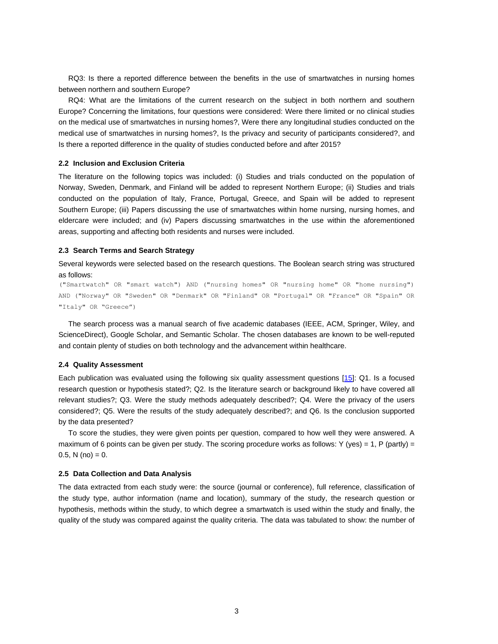RQ3: Is there a reported difference between the benefits in the use of smartwatches in nursing homes between northern and southern Europe?

RQ4: What are the limitations of the current research on the subject in both northern and southern Europe? Concerning the limitations, four questions were considered: Were there limited or no clinical studies on the medical use of smartwatches in nursing homes?, Were there any longitudinal studies conducted on the medical use of smartwatches in nursing homes?, Is the privacy and security of participants considered?, and Is there a reported difference in the quality of studies conducted before and after 2015?

### **2.2 Inclusion and Exclusion Criteria**

The literature on the following topics was included: (i) Studies and trials conducted on the population of Norway, Sweden, Denmark, and Finland will be added to represent Northern Europe; (ii) Studies and trials conducted on the population of Italy, France, Portugal, Greece, and Spain will be added to represent Southern Europe; (iii) Papers discussing the use of smartwatches within home nursing, nursing homes, and eldercare were included; and (iv) Papers discussing smartwatches in the use within the aforementioned areas, supporting and affecting both residents and nurses were included.

### **2.3 Search Terms and Search Strategy**

Several keywords were selected based on the research questions. The Boolean search string was structured as follows:

("Smartwatch" OR "smart watch") AND ("nursing homes" OR "nursing home" OR "home nursing") AND ("Norway" OR "Sweden" OR "Denmark" OR "Finland" OR "Portugal" OR "France" OR "Spain" OR "Italy" OR "Greece")

The search process was a manual search of five academic databases (IEEE, ACM, Springer, Wiley, and ScienceDirect), Google Scholar, and Semantic Scholar. The chosen databases are known to be well-reputed and contain plenty of studies on both technology and the advancement within healthcare.

#### **2.4 Quality Assessment**

Each publication was evaluated using the following six quality assessment questions [\[15\]:](#page-7-7) Q1. Is a focused research question or hypothesis stated?; Q2. Is the literature search or background likely to have covered all relevant studies?; Q3. Were the study methods adequately described?; Q4. Were the privacy of the users considered?; Q5. Were the results of the study adequately described?; and Q6. Is the conclusion supported by the data presented?

To score the studies, they were given points per question, compared to how well they were answered. A maximum of 6 points can be given per study. The scoring procedure works as follows: Y (yes) = 1, P (partly) = 0.5, N (no) =  $0$ .

#### **2.5 Data Collection and Data Analysis**

The data extracted from each study were: the source (journal or conference), full reference, classification of the study type, author information (name and location), summary of the study, the research question or hypothesis, methods within the study, to which degree a smartwatch is used within the study and finally, the quality of the study was compared against the quality criteria. The data was tabulated to show: the number of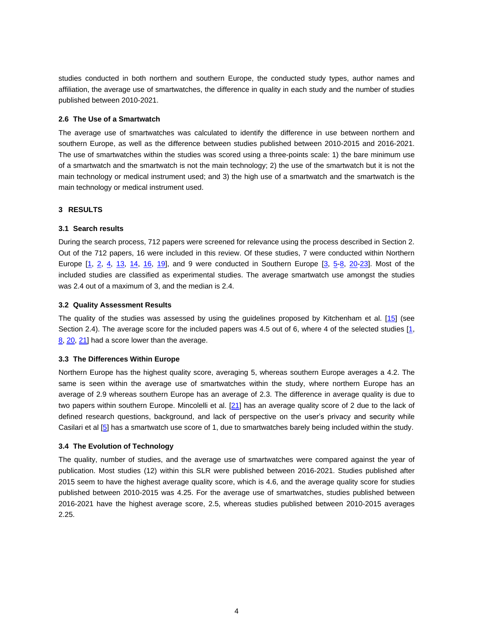studies conducted in both northern and southern Europe, the conducted study types, author names and affiliation, the average use of smartwatches, the difference in quality in each study and the number of studies published between 2010-2021.

# **2.6 The Use of a Smartwatch**

The average use of smartwatches was calculated to identify the difference in use between northern and southern Europe, as well as the difference between studies published between 2010-2015 and 2016-2021. The use of smartwatches within the studies was scored using a three-points scale: 1) the bare minimum use of a smartwatch and the smartwatch is not the main technology; 2) the use of the smartwatch but it is not the main technology or medical instrument used; and 3) the high use of a smartwatch and the smartwatch is the main technology or medical instrument used.

# **3 RESULTS**

# **3.1 Search results**

During the search process, 712 papers were screened for relevance using the process described in Section 2. Out of the 712 papers, 16 were included in this review. Of these studies, 7 were conducted within Northern Europe [\[1,](#page-6-0) [2,](#page-6-1) [4,](#page-6-2) [13,](#page-7-8) [14,](#page-7-9) [16,](#page-7-10) [19\],](#page-7-11) and 9 were conducted in Southern Europe [\[3,](#page-6-3) [5-](#page-6-4)[8,](#page-7-12) [20-](#page-7-13)[23\]](#page-7-14). Most of the included studies are classified as experimental studies. The average smartwatch use amongst the studies was 2.4 out of a maximum of 3, and the median is 2.4.

# **3.2 Quality Assessment Results**

The quality of the studies was assessed by using the guidelines proposed by Kitchenham et al. [\[15\]](#page-7-7) (see Section 2.4). The average score for the included papers was 4.5 out of 6, where 4 of the selected studies [\[1,](#page-6-0) [8,](#page-7-12) [20,](#page-7-13) [21\]](#page-7-15) had a score lower than the average.

# **3.3 The Differences Within Europe**

Northern Europe has the highest quality score, averaging 5, whereas southern Europe averages a 4.2. The same is seen within the average use of smartwatches within the study, where northern Europe has an average of 2.9 whereas southern Europe has an average of 2.3. The difference in average quality is due to two papers within southern Europe. Mincolelli et al. [\[21\]](#page-7-15) has an average quality score of 2 due to the lack of defined research questions, background, and lack of perspective on the user's privacy and security while Casilari et al [\[5\]](#page-6-4) has a smartwatch use score of 1, due to smartwatches barely being included within the study.

# **3.4 The Evolution of Technology**

The quality, number of studies, and the average use of smartwatches were compared against the year of publication. Most studies (12) within this SLR were published between 2016-2021. Studies published after 2015 seem to have the highest average quality score, which is 4.6, and the average quality score for studies published between 2010-2015 was 4.25. For the average use of smartwatches, studies published between 2016-2021 have the highest average score, 2.5, whereas studies published between 2010-2015 averages 2.25.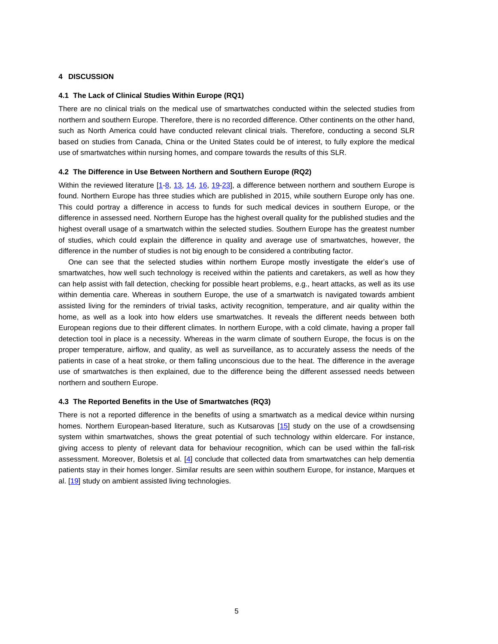# **4 DISCUSSION**

#### **4.1 The Lack of Clinical Studies Within Europe (RQ1)**

There are no clinical trials on the medical use of smartwatches conducted within the selected studies from northern and southern Europe. Therefore, there is no recorded difference. Other continents on the other hand, such as North America could have conducted relevant clinical trials. Therefore, conducting a second SLR based on studies from Canada, China or the United States could be of interest, to fully explore the medical use of smartwatches within nursing homes, and compare towards the results of this SLR.

#### **4.2 The Difference in Use Between Northern and Southern Europe (RQ2)**

Within the reviewed literature [\[1](#page-6-0)[-8,](#page-7-12) [13,](#page-7-8) [14,](#page-7-9) [16,](#page-7-10) [19](#page-7-11)[-23\]](#page-7-14), a difference between northern and southern Europe is found. Northern Europe has three studies which are published in 2015, while southern Europe only has one. This could portray a difference in access to funds for such medical devices in southern Europe, or the difference in assessed need. Northern Europe has the highest overall quality for the published studies and the highest overall usage of a smartwatch within the selected studies. Southern Europe has the greatest number of studies, which could explain the difference in quality and average use of smartwatches, however, the difference in the number of studies is not big enough to be considered a contributing factor.

One can see that the selected studies within northern Europe mostly investigate the elder's use of smartwatches, how well such technology is received within the patients and caretakers, as well as how they can help assist with fall detection, checking for possible heart problems, e.g., heart attacks, as well as its use within dementia care. Whereas in southern Europe, the use of a smartwatch is navigated towards ambient assisted living for the reminders of trivial tasks, activity recognition, temperature, and air quality within the home, as well as a look into how elders use smartwatches. It reveals the different needs between both European regions due to their different climates. In northern Europe, with a cold climate, having a proper fall detection tool in place is a necessity. Whereas in the warm climate of southern Europe, the focus is on the proper temperature, airflow, and quality, as well as surveillance, as to accurately assess the needs of the patients in case of a heat stroke, or them falling unconscious due to the heat. The difference in the average use of smartwatches is then explained, due to the difference being the different assessed needs between northern and southern Europe.

#### **4.3 The Reported Benefits in the Use of Smartwatches (RQ3)**

There is not a reported difference in the benefits of using a smartwatch as a medical device within nursing homes. Northern European-based literature, such as Kutsarovas [\[15\]](#page-7-7) study on the use of a crowdsensing system within smartwatches, shows the great potential of such technology within eldercare. For instance, giving access to plenty of relevant data for behaviour recognition, which can be used within the fall-risk assessment. Moreover, Boletsis et al. [\[4\]](#page-6-2) conclude that collected data from smartwatches can help dementia patients stay in their homes longer. Similar results are seen within southern Europe, for instance, Marques et al. [\[19\]](#page-7-11) study on ambient assisted living technologies.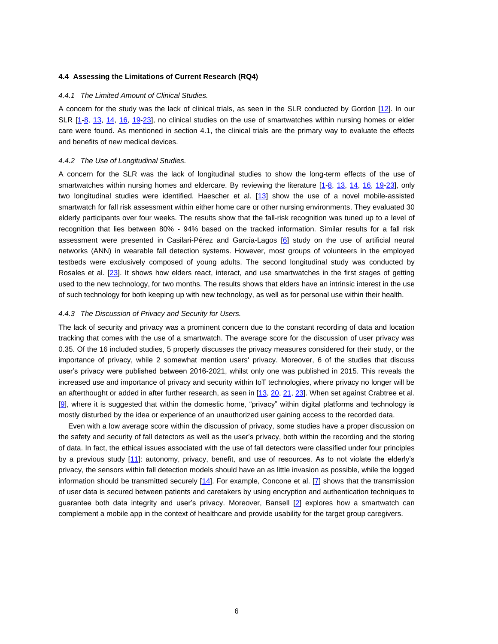### **4.4 Assessing the Limitations of Current Research (RQ4)**

#### *4.4.1 The Limited Amount of Clinical Studies.*

A concern for the study was the lack of clinical trials, as seen in the SLR conducted by Gordon [\[12\]](#page-7-6). In our SLR [\[1-](#page-6-0)[8,](#page-7-12) [13,](#page-7-8) [14,](#page-7-9) [16,](#page-7-10) [19-](#page-7-11)[23\]](#page-7-14), no clinical studies on the use of smartwatches within nursing homes or elder care were found. As mentioned in section 4.1, the clinical trials are the primary way to evaluate the effects and benefits of new medical devices.

### *4.4.2 The Use of Longitudinal Studies.*

A concern for the SLR was the lack of longitudinal studies to show the long-term effects of the use of smartwatches within nursing homes and eldercare. By reviewing the literature [\[1](#page-6-0)[-8,](#page-7-12) [13,](#page-7-8) [14,](#page-7-9) [16,](#page-7-10) [19](#page-7-11)[-23\]](#page-7-14), only two longitudinal studies were identified. Haescher et al. [\[13\]](#page-7-8) show the use of a novel mobile-assisted smartwatch for fall risk assessment within either home care or other nursing environments. They evaluated 30 elderly participants over four weeks. The results show that the fall-risk recognition was tuned up to a level of recognition that lies between 80% - 94% based on the tracked information. Similar results for a fall risk assessment were presented in Casilari-Pérez and García-Lagos [\[6\]](#page-7-16) study on the use of artificial neural networks (ANN) in wearable fall detection systems. However, most groups of volunteers in the employed testbeds were exclusively composed of young adults. The second longitudinal study was conducted by Rosales et al. [\[23\]](#page-7-14). It shows how elders react, interact, and use smartwatches in the first stages of getting used to the new technology, for two months. The results shows that elders have an intrinsic interest in the use of such technology for both keeping up with new technology, as well as for personal use within their health.

### *4.4.3 The Discussion of Privacy and Security for Users.*

The lack of security and privacy was a prominent concern due to the constant recording of data and location tracking that comes with the use of a smartwatch. The average score for the discussion of user privacy was 0.35. Of the 16 included studies, 5 properly discusses the privacy measures considered for their study, or the importance of privacy, while 2 somewhat mention users' privacy. Moreover, 6 of the studies that discuss user's privacy were published between 2016-2021, whilst only one was published in 2015. This reveals the increased use and importance of privacy and security within IoT technologies, where privacy no longer will be an afterthought or added in after further research, as seen in [\[13,](#page-7-8) [20,](#page-7-13) [21,](#page-7-15) [23\]](#page-7-14). When set against Crabtree et al. [\[9\]](#page-7-5), where it is suggested that within the domestic home, "privacy" within digital platforms and technology is mostly disturbed by the idea or experience of an unauthorized user gaining access to the recorded data.

Even with a low average score within the discussion of privacy, some studies have a proper discussion on the safety and security of fall detectors as well as the user's privacy, both within the recording and the storing of data. In fact, the ethical issues associated with the use of fall detectors were classified under four principles by a previous study [\[11\]:](#page-7-17) autonomy, privacy, benefit, and use of resources. As to not violate the elderly's privacy, the sensors within fall detection models should have an as little invasion as possible, while the logged information should be transmitted securely [\[14\].](#page-7-9) For example, Concone et al. [\[7\]](#page-7-18) shows that the transmission of user data is secured between patients and caretakers by using encryption and authentication techniques to guarantee both data integrity and user's privacy. Moreover, Bansell [\[2\]](#page-6-1) explores how a smartwatch can complement a mobile app in the context of healthcare and provide usability for the target group caregivers.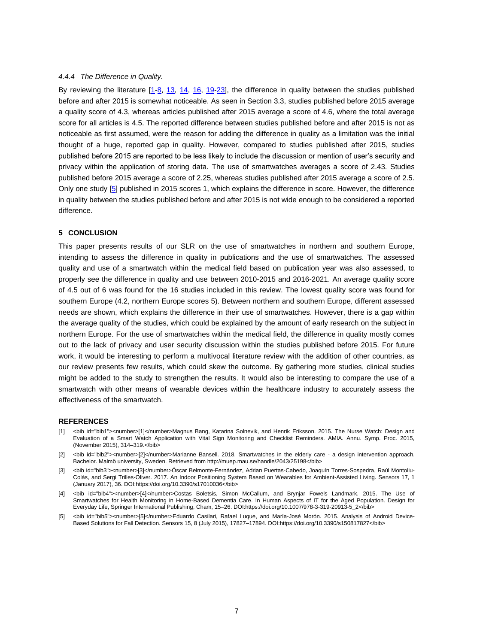### *4.4.4 The Difference in Quality.*

By reviewing the literature  $[1-8, 13, 14, 16, 19-23]$  $[1-8, 13, 14, 16, 19-23]$  $[1-8, 13, 14, 16, 19-23]$  $[1-8, 13, 14, 16, 19-23]$  $[1-8, 13, 14, 16, 19-23]$  $[1-8, 13, 14, 16, 19-23]$  $[1-8, 13, 14, 16, 19-23]$ , the difference in quality between the studies published before and after 2015 is somewhat noticeable. As seen in Section 3.3, studies published before 2015 average a quality score of 4.3, whereas articles published after 2015 average a score of 4.6, where the total average score for all articles is 4.5. The reported difference between studies published before and after 2015 is not as noticeable as first assumed, were the reason for adding the difference in quality as a limitation was the initial thought of a huge, reported gap in quality. However, compared to studies published after 2015, studies published before 2015 are reported to be less likely to include the discussion or mention of user's security and privacy within the application of storing data. The use of smartwatches averages a score of 2.43. Studies published before 2015 average a score of 2.25, whereas studies published after 2015 average a score of 2.5. Only one study [\[5\]](#page-6-4) published in 2015 scores 1, which explains the difference in score. However, the difference in quality between the studies published before and after 2015 is not wide enough to be considered a reported difference.

### **5 CONCLUSION**

This paper presents results of our SLR on the use of smartwatches in northern and southern Europe, intending to assess the difference in quality in publications and the use of smartwatches. The assessed quality and use of a smartwatch within the medical field based on publication year was also assessed, to properly see the difference in quality and use between 2010-2015 and 2016-2021. An average quality score of 4.5 out of 6 was found for the 16 studies included in this review. The lowest quality score was found for southern Europe (4.2, northern Europe scores 5). Between northern and southern Europe, different assessed needs are shown, which explains the difference in their use of smartwatches. However, there is a gap within the average quality of the studies, which could be explained by the amount of early research on the subject in northern Europe. For the use of smartwatches within the medical field, the difference in quality mostly comes out to the lack of privacy and user security discussion within the studies published before 2015. For future work, it would be interesting to perform a multivocal literature review with the addition of other countries, as our review presents few results, which could skew the outcome. By gathering more studies, clinical studies might be added to the study to strengthen the results. It would also be interesting to compare the use of a smartwatch with other means of wearable devices within the healthcare industry to accurately assess the effectiveness of the smartwatch.

#### **REFERENCES**

- <span id="page-6-0"></span>[1] <bib id="bib1"><number>[1]</number>Magnus Bang, Katarina Solnevik, and Henrik Eriksson. 2015. The Nurse Watch: Design and Evaluation of a Smart Watch Application with Vital Sign Monitoring and Checklist Reminders. AMIA. Annu. Symp. Proc. 2015, (November 2015), 314–319.</bib>
- <span id="page-6-1"></span>[2] <bib id="bib2"><number>[2]</number>Marianne Bansell. 2018. Smartwatches in the elderly care - a design intervention approach. Bachelor. Malmö university, Sweden. Retrieved from http://muep.mau.se/handle/2043/25198</bib>
- <span id="page-6-3"></span>[3] <bib id="bib3"><number>[3]</number>Óscar Belmonte-Fernández, Adrian Puertas-Cabedo, Joaquín Torres-Sospedra, Raúl Montoliu-Colás, and Sergi Trilles-Oliver. 2017. An Indoor Positioning System Based on Wearables for Ambient-Assisted Living. Sensors 17, 1 (January 2017), 36. DOI:https://doi.org/10.3390/s17010036</bib>
- <span id="page-6-2"></span>[4] <bib id="bib4"><number>[4]</number>Costas Boletsis, Simon McCallum, and Brynjar Fowels Landmark. 2015. The Use of Smartwatches for Health Monitoring in Home-Based Dementia Care. In Human Aspects of IT for the Aged Population. Design for Everyday Life, Springer International Publishing, Cham, 15–26. DOI:https://doi.org/10.1007/978-3-319-20913-5\_2</bib>
- <span id="page-6-4"></span>[5] <bib id="bib5"><number>[5]</number>Eduardo Casilari, Rafael Luque, and María-José Morón. 2015. Analysis of Android Device-Based Solutions for Fall Detection. Sensors 15, 8 (July 2015), 17827–17894. DOI:https://doi.org/10.3390/s150817827</bib>